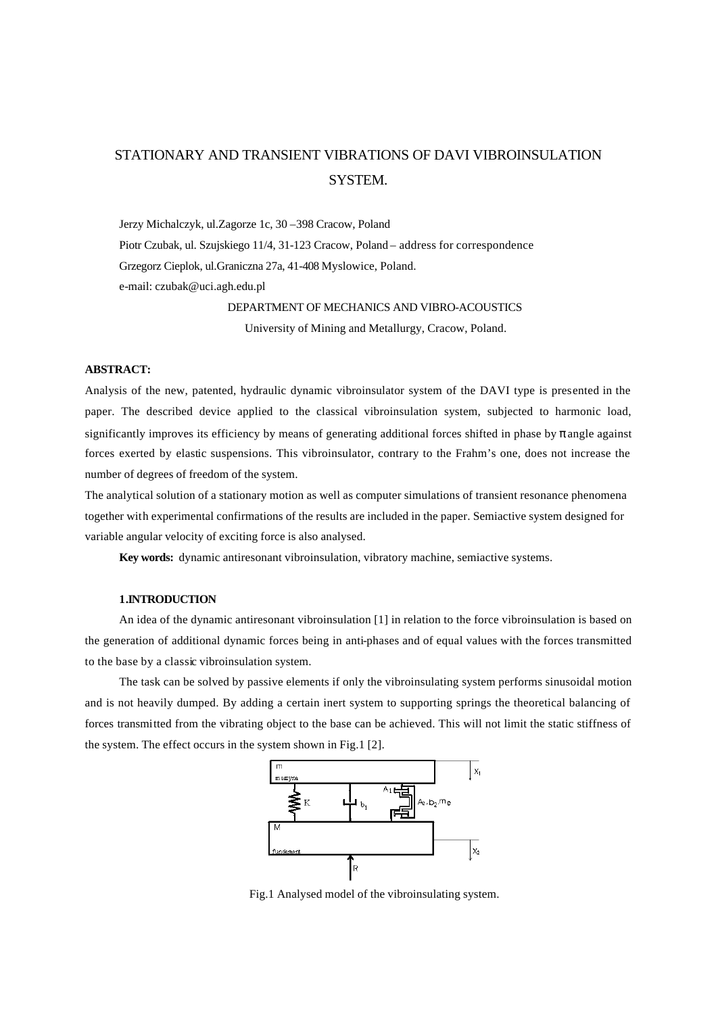# STATIONARY AND TRANSIENT VIBRATIONS OF DAVI VIBROINSULATION **SYSTEM.**

Jerzy Michalczyk, ul.Zagorze 1c, 30 –398 Cracow, Poland Piotr Czubak, ul. Szujskiego 11/4, 31-123 Cracow, Poland – address for correspondence Grzegorz Cieplok, ul.Graniczna 27a, 41-408 Myslowice, Poland. e-mail: czubak@uci.agh.edu.pl

#### DEPARTMENT OF MECHANICS AND VIBRO-ACOUSTICS

University of Mining and Metallurgy, Cracow, Poland.

#### **ABSTRACT:**

Analysis of the new, patented, hydraulic dynamic vibroinsulator system of the DAVI type is presented in the paper. The described device applied to the classical vibroinsulation system, subjected to harmonic load, significantly improves its efficiency by means of generating additional forces shifted in phase by  $\pi$  angle against forces exerted by elastic suspensions. This vibroinsulator, contrary to the Frahm's one, does not increase the number of degrees of freedom of the system.

The analytical solution of a stationary motion as well as computer simulations of transient resonance phenomena together with experimental confirmations of the results are included in the paper. Semiactive system designed for variable angular velocity of exciting force is also analysed.

**Key words:** dynamic antiresonant vibroinsulation, vibratory machine, semiactive systems.

## **1.INTRODUCTION**

An idea of the dynamic antiresonant vibroinsulation [1] in relation to the force vibroinsulation is based on the generation of additional dynamic forces being in anti-phases and of equal values with the forces transmitted to the base by a classic vibroinsulation system.

The task can be solved by passive elements if only the vibroinsulating system performs sinusoidal motion and is not heavily dumped. By adding a certain inert system to supporting springs the theoretical balancing of forces transmitted from the vibrating object to the base can be achieved. This will not limit the static stiffness of the system. The effect occurs in the system shown in Fig.1 [2].



Fig.1 Analysed model of the vibroinsulating system.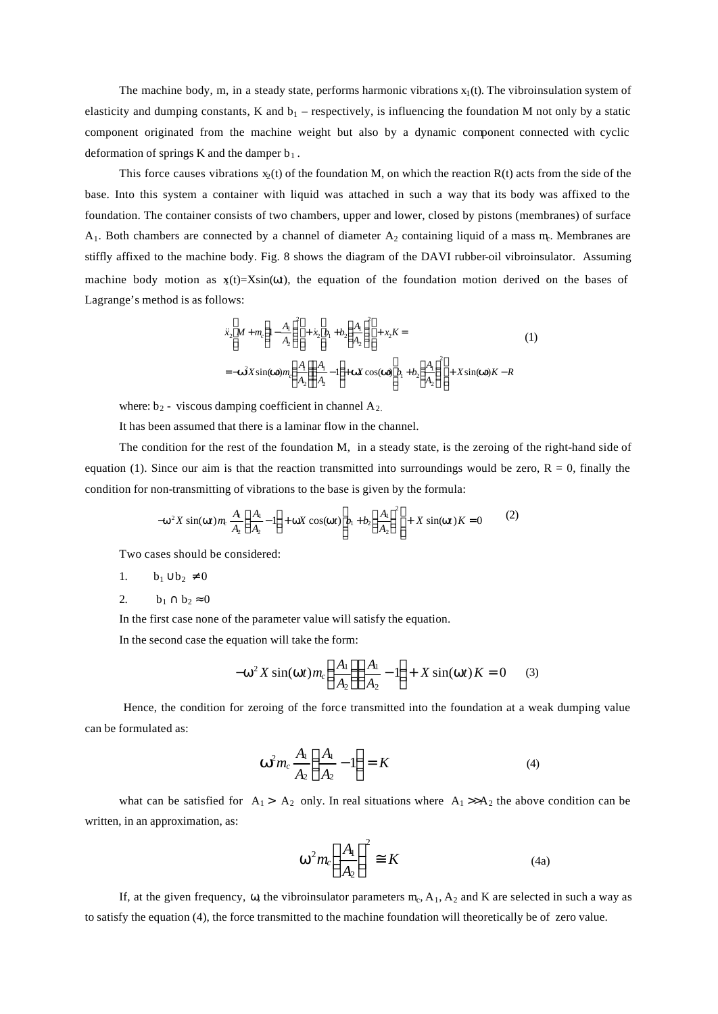The machine body, m, in a steady state, performs harmonic vibrations  $x_1(t)$ . The vibroinsulation system of elasticity and dumping constants, K and  $b_1$  – respectively, is influencing the foundation M not only by a static component originated from the machine weight but also by a dynamic component connected with cyclic deformation of springs K and the damper  $b_1$ .

This force causes vibrations  $x_2(t)$  of the foundation M, on which the reaction R(t) acts from the side of the base. Into this system a container with liquid was attached in such a way that its body was affixed to the foundation. The container consists of two chambers, upper and lower, closed by pistons (membranes) of surface  $A_1$ . Both chambers are connected by a channel of diameter  $A_2$  containing liquid of a mass m<sub>c</sub>. Membranes are stiffly affixed to the machine body. Fig. 8 shows the diagram of the DAVI rubber-oil vibroinsulator. Assuming machine body motion as  $x(t)=X\sin(\omega t)$ , the equation of the foundation motion derived on the bases of Lagrange's method is as follows:

$$
\ddot{x}_2 \left[ M + m_e \left( 1 - \frac{A_1}{A_2} \right)^2 \right] + \dot{x}_2 \left[ b_1 + b_2 \left( \frac{A_1}{A_2} \right)^2 \right] + x_2 K =
$$
\n
$$
= -\mathbf{w}^2 X \sin(\mathbf{w}) m_e \left( \frac{A_1}{A_2} \left( \frac{A_1}{A_2} - 1 \right) + \mathbf{w} X \cos(\mathbf{w}) \left[ b_1 + b_2 \left( \frac{A_1}{A_2} \right)^2 \right] + X \sin(\mathbf{w}) K - R
$$
\n(1)

where:  $b_2$  - viscous damping coefficient in channel  $A_2$ .

It has been assumed that there is a laminar flow in the channel.

The condition for the rest of the foundation M, in a steady state, is the zeroing of the right-hand side of equation (1). Since our aim is that the reaction transmitted into surroundings would be zero,  $R = 0$ , finally the condition for non-transmitting of vibrations to the base is given by the formula:

$$
-w^{2} X \sin(wt) m \frac{A_{1}}{A_{2}} \left(\frac{A_{1}}{A_{2}} - 1\right) + wX \cos(wt) \left[b_{1} + b_{2} \left(\frac{A_{1}}{A_{2}}\right)^{2}\right] + X \sin(wt) K = 0
$$
 (2)

Two cases should be considered:

1.  $b_1 \cup b_2 \neq 0$ 

2.  $b_1 \cap b_2 \approx 0$ 

In the first case none of the parameter value will satisfy the equation.

In the second case the equation will take the form:

$$
-\mathbf{w}^2 X \sin(\mathbf{w}t) m_c \left(\frac{A_1}{A_2}\right) \left(\frac{A_1}{A_2} - 1\right) + X \sin(\mathbf{w}t) K = 0 \qquad (3)
$$

 Hence, the condition for zeroing of the force transmitted into the foundation at a weak dumping value can be formulated as:

$$
\boldsymbol{w}^2 m_c \frac{A_1}{A_2} \left( \frac{A_1}{A_2} - 1 \right) = K \tag{4}
$$

what can be satisfied for  $A_1 > A_2$  only. In real situations where  $A_1 >> A_2$  the above condition can be written, in an approximation, as:

$$
w^2 m_c \left(\frac{A_1}{A_2}\right)^2 \cong K \tag{4a}
$$

If, at the given frequency,  $\omega$ , the vibroinsulator parameters  $m_c$ ,  $A_1$ ,  $A_2$  and K are selected in such a way as to satisfy the equation (4), the force transmitted to the machine foundation will theoretically be of zero value.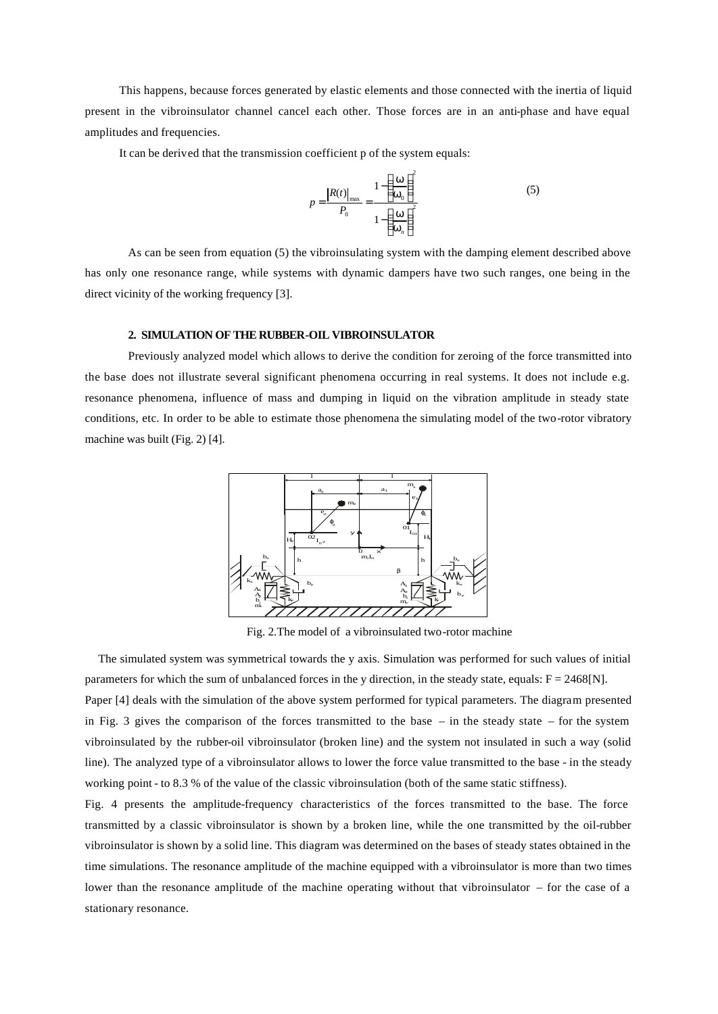This happens, because forces generated by elastic elements and those connected with the inertia of liquid present in the vibroinsulator channel cancel each other. Those forces are in an anti-phase and have equal amplitudes and frequencies.

It can be derived that the transmission coefficient p of the system equals:

$$
p = \frac{|R(t)|_{\text{max}}}{P_0} = \frac{1 - \left(\frac{\mathbf{w}}{\mathbf{w}_0}\right)^2}{1 - \left(\frac{\mathbf{w}}{\mathbf{w}_n}\right)^2}
$$
(5)

As can be seen from equation (5) the vibroinsulating system with the damping element described above has only one resonance range, while systems with dynamic dampers have two such ranges, one being in the direct vicinity of the working frequency [3].

### **2. SIMULATION OF THE RUBBER-OIL VIBROINSULATOR**

Previously analyzed model which allows to derive the condition for zeroing of the force transmitted into the base does not illustrate several significant phenomena occurring in real systems. It does not include e.g. resonance phenomena, influence of mass and dumping in liquid on the vibration amplitude in steady state conditions, etc. In order to be able to estimate those phenomena the simulating model of the two-rotor vibratory machine was built (Fig. 2) [4].



Fig. 2.The model of a vibroinsulated two-rotor machine

 The simulated system was symmetrical towards the y axis. Simulation was performed for such values of initial parameters for which the sum of unbalanced forces in the y direction, in the steady state, equals:  $F = 2468$ [N].

Paper [4] deals with the simulation of the above system performed for typical parameters. The diagram presented in Fig. 3 gives the comparison of the forces transmitted to the base – in the steady state – for the system vibroinsulated by the rubber-oil vibroinsulator (broken line) and the system not insulated in such a way (solid line). The analyzed type of a vibroinsulator allows to lower the force value transmitted to the base - in the steady working point - to 8.3 % of the value of the classic vibroinsulation (both of the same static stiffness).

Fig. 4 presents the amplitude-frequency characteristics of the forces transmitted to the base. The force transmitted by a classic vibroinsulator is shown by a broken line, while the one transmitted by the oil-rubber vibroinsulator is shown by a solid line. This diagram was determined on the bases of steady states obtained in the time simulations. The resonance amplitude of the machine equipped with a vibroinsulator is more than two times lower than the resonance amplitude of the machine operating without that vibroinsulator – for the case of a stationary resonance.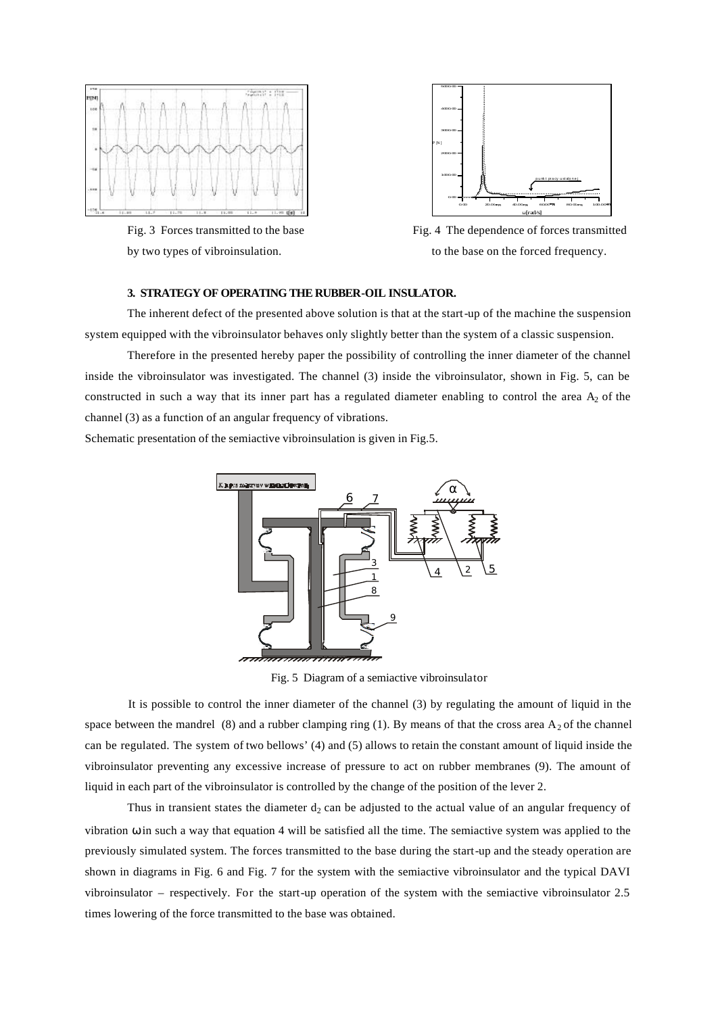



Fig. 3 Forces transmitted to the base Fig. 4 The dependence of forces transmitted by two types of vibroinsulation. to the base on the forced frequency.

## **3. STRATEGY OF OPERATING THE RUBBER-OIL INSULATOR.**

The inherent defect of the presented above solution is that at the start-up of the machine the suspension system equipped with the vibroinsulator behaves only slightly better than the system of a classic suspension.

Therefore in the presented hereby paper the possibility of controlling the inner diameter of the channel inside the vibroinsulator was investigated. The channel (3) inside the vibroinsulator, shown in Fig. 5, can be constructed in such a way that its inner part has a regulated diameter enabling to control the area A<sub>2</sub> of the channel (3) as a function of an angular frequency of vibrations.

Schematic presentation of the semiactive vibroinsulation is given in Fig.5.



Fig. 5 Diagram of a semiactive vibroinsulator

It is possible to control the inner diameter of the channel (3) by regulating the amount of liquid in the space between the mandrel (8) and a rubber clamping ring (1). By means of that the cross area  $A_2$  of the channel can be regulated. The system of two bellows' (4) and (5) allows to retain the constant amount of liquid inside the vibroinsulator preventing any excessive increase of pressure to act on rubber membranes (9). The amount of liquid in each part of the vibroinsulator is controlled by the change of the position of the lever 2.

Thus in transient states the diameter  $d_2$  can be adjusted to the actual value of an angular frequency of vibration  $\omega$  in such a way that equation 4 will be satisfied all the time. The semiactive system was applied to the previously simulated system. The forces transmitted to the base during the start-up and the steady operation are shown in diagrams in Fig. 6 and Fig. 7 for the system with the semiactive vibroinsulator and the typical DAVI vibroinsulator – respectively. For the start-up operation of the system with the semiactive vibroinsulator 2.5 times lowering of the force transmitted to the base was obtained.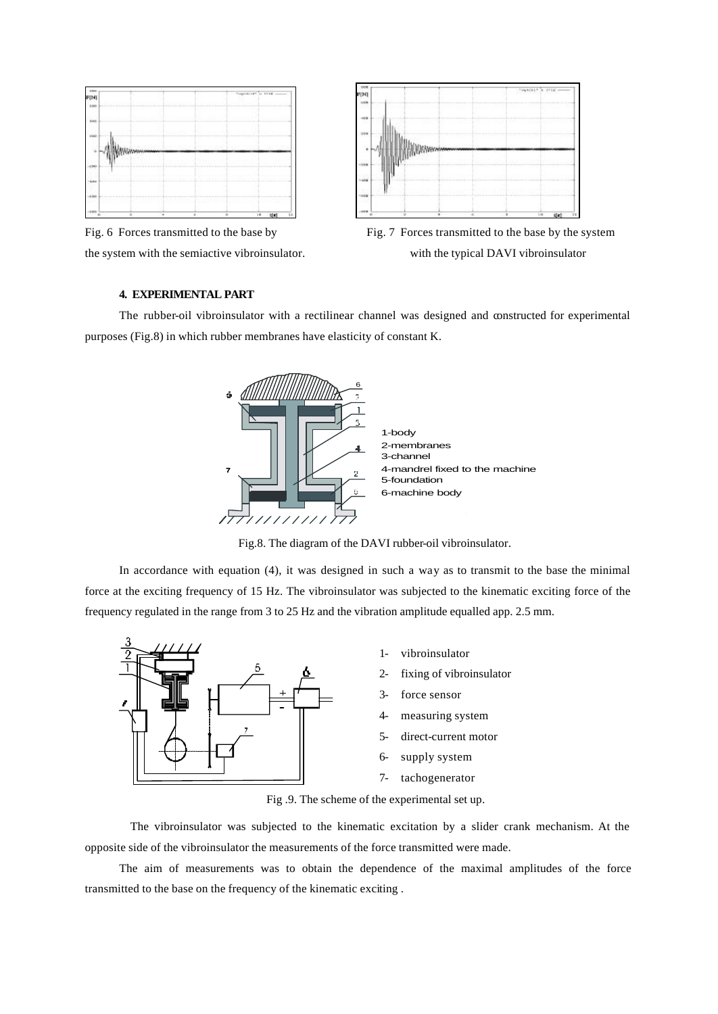



Fig. 6 Forces transmitted to the base by Fig. 7 Forces transmitted to the base by the system the system with the semiactive vibroinsulator. with the typical DAVI vibroinsulator

## **4. EXPERIMENTAL PART**

The rubber-oil vibroinsulator with a rectilinear channel was designed and constructed for experimental purposes (Fig.8) in which rubber membranes have elasticity of constant K.



Fig.8. The diagram of the DAVI rubber-oil vibroinsulator.

In accordance with equation (4), it was designed in such a way as to transmit to the base the minimal force at the exciting frequency of 15 Hz. The vibroinsulator was subjected to the kinematic exciting force of the frequency regulated in the range from 3 to 25 Hz and the vibration amplitude equalled app. 2.5 mm.



- 1- vibroinsulator
- 2- fixing of vibroinsulator
- 3- force sensor
- 4- measuring system
- 5- direct-current motor
- supply system
- 7- tachogenerator

Fig .9. The scheme of the experimental set up.

 The vibroinsulator was subjected to the kinematic excitation by a slider crank mechanism. At the opposite side of the vibroinsulator the measurements of the force transmitted were made.

The aim of measurements was to obtain the dependence of the maximal amplitudes of the force transmitted to the base on the frequency of the kinematic exciting .